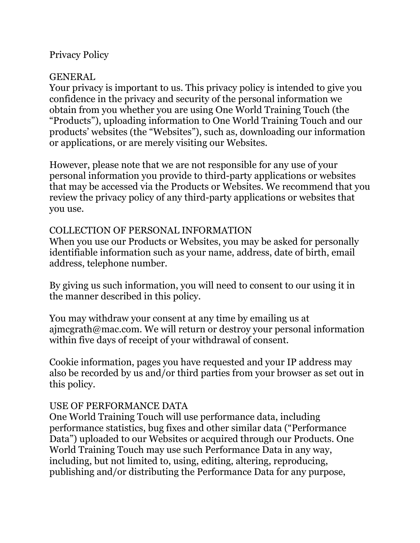### Privacy Policy

#### GENERAL

Your privacy is important to us. This privacy policy is intended to give you confidence in the privacy and security of the personal information we obtain from you whether you are using One World Training Touch (the "Products"), uploading information to One World Training Touch and our products' websites (the "Websites"), such as, downloading our information or applications, or are merely visiting our Websites.

However, please note that we are not responsible for any use of your personal information you provide to third-party applications or websites that may be accessed via the Products or Websites. We recommend that you review the privacy policy of any third-party applications or websites that you use.

### COLLECTION OF PERSONAL INFORMATION

When you use our Products or Websites, you may be asked for personally identifiable information such as your name, address, date of birth, email address, telephone number.

By giving us such information, you will need to consent to our using it in the manner described in this policy.

You may withdraw your consent at any time by emailing us at ajmcgrath@mac.com. We will return or destroy your personal information within five days of receipt of your withdrawal of consent.

Cookie information, pages you have requested and your IP address may also be recorded by us and/or third parties from your browser as set out in this policy.

### USE OF PERFORMANCE DATA

One World Training Touch will use performance data, including performance statistics, bug fixes and other similar data ("Performance Data") uploaded to our Websites or acquired through our Products. One World Training Touch may use such Performance Data in any way, including, but not limited to, using, editing, altering, reproducing, publishing and/or distributing the Performance Data for any purpose,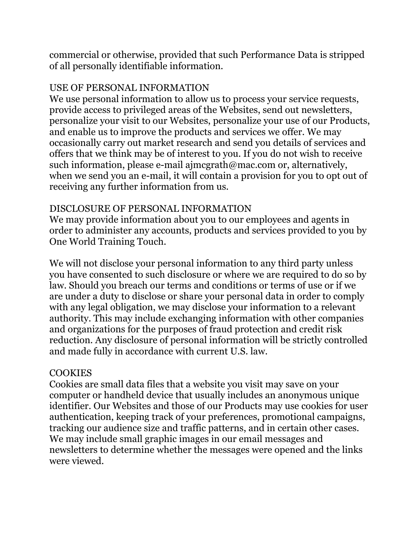commercial or otherwise, provided that such Performance Data is stripped of all personally identifiable information.

# USE OF PERSONAL INFORMATION

We use personal information to allow us to process your service requests, provide access to privileged areas of the Websites, send out newsletters, personalize your visit to our Websites, personalize your use of our Products, and enable us to improve the products and services we offer. We may occasionally carry out market research and send you details of services and offers that we think may be of interest to you. If you do not wish to receive such information, please e-mail ajmcgrath@mac.com or, alternatively, when we send you an e-mail, it will contain a provision for you to opt out of receiving any further information from us.

## DISCLOSURE OF PERSONAL INFORMATION

We may provide information about you to our employees and agents in order to administer any accounts, products and services provided to you by One World Training Touch.

We will not disclose your personal information to any third party unless you have consented to such disclosure or where we are required to do so by law. Should you breach our terms and conditions or terms of use or if we are under a duty to disclose or share your personal data in order to comply with any legal obligation, we may disclose your information to a relevant authority. This may include exchanging information with other companies and organizations for the purposes of fraud protection and credit risk reduction. Any disclosure of personal information will be strictly controlled and made fully in accordance with current U.S. law.

# COOKIES

Cookies are small data files that a website you visit may save on your computer or handheld device that usually includes an anonymous unique identifier. Our Websites and those of our Products may use cookies for user authentication, keeping track of your preferences, promotional campaigns, tracking our audience size and traffic patterns, and in certain other cases. We may include small graphic images in our email messages and newsletters to determine whether the messages were opened and the links were viewed.